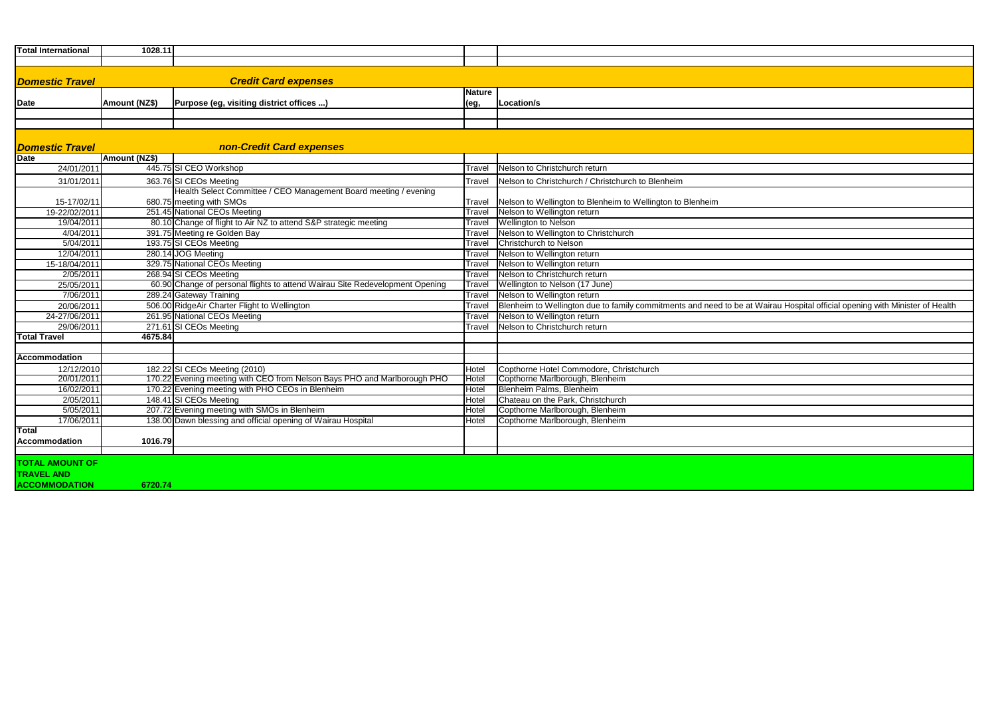| <b>Total International</b> | 1028.11                                                                      |               |                                                                                                                             |
|----------------------------|------------------------------------------------------------------------------|---------------|-----------------------------------------------------------------------------------------------------------------------------|
|                            |                                                                              |               |                                                                                                                             |
|                            |                                                                              |               |                                                                                                                             |
| <b>Domestic Travel</b>     | <b>Credit Card expenses</b>                                                  |               |                                                                                                                             |
|                            |                                                                              | <b>Nature</b> |                                                                                                                             |
| Date                       | Amount (NZ\$)<br>Purpose (eg, visiting district offices )                    | (eg,          | Location/s                                                                                                                  |
|                            |                                                                              |               |                                                                                                                             |
|                            |                                                                              |               |                                                                                                                             |
|                            |                                                                              |               |                                                                                                                             |
| <b>Domestic Travel</b>     | <b>non-Credit Card expenses</b>                                              |               |                                                                                                                             |
| <b>Date</b>                | (NZ\$)<br><b>Amount</b>                                                      |               |                                                                                                                             |
| 24/01/2011                 | 445.75 SI CEO Workshop                                                       | Travel        | Nelson to Christchurch return                                                                                               |
| 31/01/2011                 | 363.76 SI CEOs Meeting                                                       | Travel        | Nelson to Christchurch / Christchurch to Blenheim                                                                           |
|                            | Health Select Committee / CEO Management Board meeting / evening             |               |                                                                                                                             |
| 15-17/02/11                | 680.75 meeting with SMOs                                                     | Travel        | Nelson to Wellington to Blenheim to Wellington to Blenheim                                                                  |
| 19-22/02/2011              | 251.45 National CEOs Meeting                                                 | Travel        | Nelson to Wellington return                                                                                                 |
| 19/04/2011                 | 80.10 Change of flight to Air NZ to attend S&P strategic meeting             | Travel        | <b>Wellington to Nelson</b>                                                                                                 |
| 4/04/2011                  | 391.75 Meeting re Golden Bay                                                 | Travel        | Nelson to Wellington to Christchurch                                                                                        |
| 5/04/2011                  | 193.75 SI CEOs Meeting                                                       | Travel        | Christchurch to Nelson                                                                                                      |
| 12/04/2011                 | 280.14 JOG Meeting                                                           | Travel        | Nelson to Wellington return                                                                                                 |
| 15-18/04/2011              | 329.75 National CEOs Meeting                                                 | Travel        | Nelson to Wellington return                                                                                                 |
| 2/05/2011                  | 268.94 SI CEOs Meeting                                                       | Travel        | Nelson to Christchurch return                                                                                               |
| 25/05/2011                 | 60.90 Change of personal flights to attend Wairau Site Redevelopment Opening | Travel        | Wellington to Nelson (17 June)                                                                                              |
| 7/06/2011                  | 289.24 Gateway Training                                                      | Travel        | Nelson to Wellington return                                                                                                 |
| 20/06/2011                 | 506.00 RidgeAir Charter Flight to Wellington                                 | Travel        | Blenheim to Wellington due to family commitments and need to be at Wairau Hospital official opening with Minister of Health |
| 24-27/06/2011              | 261.95 National CEOs Meeting                                                 | Travel        | Nelson to Wellington return                                                                                                 |
| 29/06/2011                 | 271.61 SI CEOs Meeting                                                       | Travel        | Nelson to Christchurch return                                                                                               |
| <b>Total Travel</b>        | 4675.84                                                                      |               |                                                                                                                             |
|                            |                                                                              |               |                                                                                                                             |
| Accommodation              |                                                                              |               |                                                                                                                             |
| 12/12/2010                 | 182.22 SI CEOs Meeting (2010)                                                | Hotel         | Copthorne Hotel Commodore, Christchurch                                                                                     |
| 20/01/2011                 | 170.22 Evening meeting with CEO from Nelson Bays PHO and Marlborough PHO     | Hotel         | Copthorne Marlborough, Blenheim                                                                                             |
| 16/02/2011                 | 170.22 Evening meeting with PHO CEOs in Blenheim                             | Hotel         | Blenheim Palms, Blenheim                                                                                                    |
| 2/05/2011                  | 148.41 SI CEOs Meeting                                                       | Hotel         | Chateau on the Park, Christchurch                                                                                           |
| 5/05/2011                  | 207.72 Evening meeting with SMOs in Blenheim                                 | Hotel         | Copthorne Marlborough, Blenheim                                                                                             |
| 17/06/2011                 | 138.00 Dawn blessing and official opening of Wairau Hospital                 | Hotel         | Copthorne Marlborough, Blenheim                                                                                             |
| <b>Total</b>               |                                                                              |               |                                                                                                                             |
| <b>Accommodation</b>       | 1016.79                                                                      |               |                                                                                                                             |
|                            |                                                                              |               |                                                                                                                             |
| <b>TOTAL AMOUNT OF</b>     |                                                                              |               |                                                                                                                             |
| <b>TRAVEL AND</b>          |                                                                              |               |                                                                                                                             |
| <b>ACCOMMODATION</b>       | 6720.74                                                                      |               |                                                                                                                             |
|                            |                                                                              |               |                                                                                                                             |

| Wairau Hospital official opening with Minister of Health |
|----------------------------------------------------------|
|                                                          |
|                                                          |
|                                                          |
|                                                          |
|                                                          |
|                                                          |
|                                                          |
|                                                          |
|                                                          |
|                                                          |
|                                                          |
|                                                          |
|                                                          |
|                                                          |
|                                                          |
|                                                          |
|                                                          |
|                                                          |
|                                                          |
|                                                          |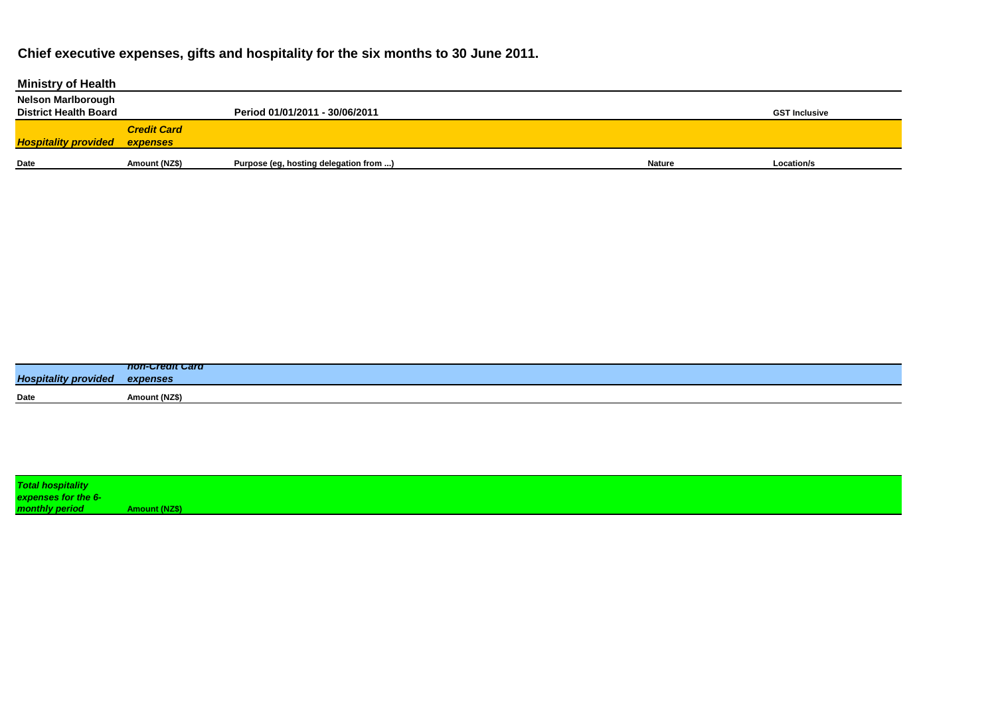## **Chief executive expenses, gifts and hospitality for the six months to 30 June 2011.**

| <b>Ministry of Health</b>    |                    |                                        |               |                      |
|------------------------------|--------------------|----------------------------------------|---------------|----------------------|
| <b>Nelson Marlborough</b>    |                    |                                        |               |                      |
| <b>District Health Board</b> |                    | Period 01/01/2011 - 30/06/2011         |               | <b>GST Inclusive</b> |
|                              | <b>Credit Card</b> |                                        |               |                      |
| <b>Hospitality provided</b>  | expenses           |                                        |               |                      |
| Date                         | Amount (NZ\$)      |                                        | <b>Nature</b> | Location/s           |
|                              |                    | Purpose (eg, hosting delegation from ) |               |                      |

|                             | non-crean card      |
|-----------------------------|---------------------|
| <b>Hospitality provided</b> | expenses            |
| <b>Date</b>                 | <b>Amount (NZ\$</b> |
|                             |                     |

| <b>Total hospitality</b> |                      |
|--------------------------|----------------------|
| expenses for the 6-      |                      |
| monthly period           | <b>Amount (NZ\$)</b> |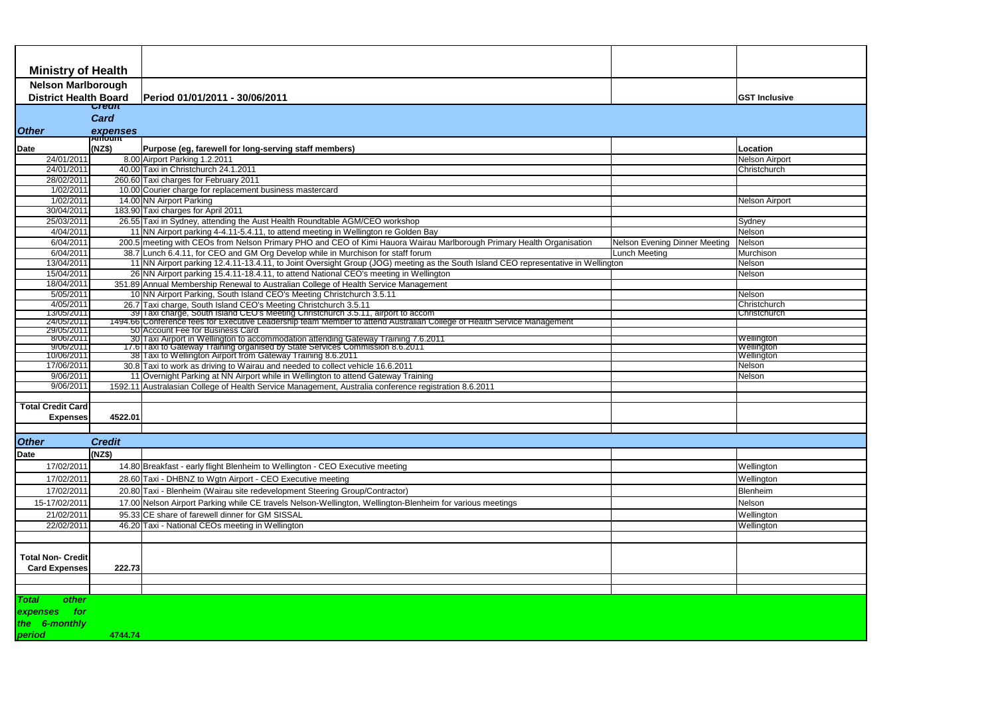| <b>Ministry of Health</b>                                 |                             |                                                                                                                                                      |                               |                              |
|-----------------------------------------------------------|-----------------------------|------------------------------------------------------------------------------------------------------------------------------------------------------|-------------------------------|------------------------------|
| <b>Nelson Marlborough</b><br><b>District Health Board</b> |                             | Period 01/01/2011 - 30/06/2011                                                                                                                       | <b>GST Inclusive</b>          |                              |
|                                                           | जस्पार<br><b>Card</b>       |                                                                                                                                                      |                               |                              |
| <b>Other</b>                                              |                             |                                                                                                                                                      |                               |                              |
|                                                           | expenses<br><b>Expenses</b> |                                                                                                                                                      |                               |                              |
| <b>Date</b>                                               | (NZ\$)                      | Purpose (eg, farewell for long-serving staff members)                                                                                                |                               | Location                     |
| 24/01/2011                                                |                             | 8.00 Airport Parking 1.2.2011                                                                                                                        |                               | <b>Nelson Airport</b>        |
| 24/01/2011<br>28/02/2011                                  |                             | 40.00 Taxi in Christchurch 24.1.2011<br>260.60 Taxi charges for February 2011                                                                        |                               | Christchurch                 |
| 1/02/2011                                                 |                             | 10.00 Courier charge for replacement business mastercard                                                                                             |                               |                              |
| 1/02/2011                                                 |                             | 14.00 NN Airport Parking                                                                                                                             |                               | <b>Nelson Airport</b>        |
| 30/04/2011                                                |                             | 183.90 Taxi charges for April 2011                                                                                                                   |                               |                              |
| 25/03/2011                                                |                             | 26.55 Taxi in Sydney, attending the Aust Health Roundtable AGM/CEO workshop                                                                          |                               | Sydney                       |
| 4/04/2011                                                 |                             | 11 NN Airport parking 4-4.11-5.4.11, to attend meeting in Wellington re Golden Bay                                                                   |                               | Nelson                       |
| 6/04/2011                                                 |                             | 200.5 meeting with CEOs from Nelson Primary PHO and CEO of Kimi Hauora Wairau Marlborough Primary Health Organisation                                | Nelson Evening Dinner Meeting | Nelson                       |
| 6/04/2011                                                 |                             | 38.7 Lunch 6.4.11, for CEO and GM Org Develop while in Murchison for staff forum                                                                     | Lunch Meeting                 | Murchison                    |
| 13/04/2011                                                |                             | 11 NN Airport parking 12.4.11-13.4.11, to Joint Oversight Group (JOG) meeting as the South Island CEO representative in Wellington                   |                               | Nelson                       |
| 15/04/2011                                                |                             | 26 NN Airport parking 15.4.11-18.4.11, to attend National CEO's meeting in Wellington                                                                |                               | Nelson                       |
| 18/04/2011                                                |                             | 351.89 Annual Membership Renewal to Australian College of Health Service Management                                                                  |                               |                              |
| 5/05/2011                                                 |                             | 10 NN Airport Parking, South Island CEO's Meeting Christchurch 3.5.11                                                                                |                               | Nelson                       |
| 4/05/2011<br>13/05/2011                                   |                             | 26.7 Taxi charge, South Island CEO's Meeting Christchurch 3.5.11<br>39 Taxi charge, South Island CEO's Meeting Christchurch 3.5.11, airport to accom |                               | Christchurch<br>Christchurch |
| 24/05/2011                                                |                             | 1494.66 Conference fees for Executive Leadership team Member to attend Australian College of Health Service Management                               |                               |                              |
| 29/05/2011                                                |                             | 50 Account Fee for Business Card                                                                                                                     |                               |                              |
| 8/06/2011<br>9/06/2011                                    |                             | 30 Taxi Airport in Wellington to accommodation attending Gateway Training 7.6.2011                                                                   |                               | Wellington<br>Wellington     |
| 10/06/2011                                                |                             | 17.6 Taxi to Gateway Training organised by State Services Commission 8.6.2011<br>38 Taxi to Wellington Airport from Gateway Training 8.6.2011        |                               | Wellington                   |
| 17/06/2011                                                |                             | 30.8 Taxi to work as driving to Wairau and needed to collect vehicle 16.6.2011                                                                       |                               | Nelson                       |
| 9/06/2011                                                 |                             | 11 Overnight Parking at NN Airport while in Wellington to attend Gateway Training                                                                    |                               | Nelson                       |
| 9/06/2011                                                 |                             | 1592.11 Australasian College of Health Service Management, Australia conference registration 8.6.2011                                                |                               |                              |
|                                                           |                             |                                                                                                                                                      |                               |                              |
| <b>Total Credit Card</b>                                  |                             |                                                                                                                                                      |                               |                              |
| <b>Expenses</b>                                           | 4522.01                     |                                                                                                                                                      |                               |                              |
|                                                           |                             |                                                                                                                                                      |                               |                              |
| <b>Other</b>                                              | <b>Credit</b>               |                                                                                                                                                      |                               |                              |
| <b>Date</b>                                               | (NZ\$)                      |                                                                                                                                                      |                               |                              |
| 17/02/2011                                                |                             | 14.80 Breakfast - early flight Blenheim to Wellington - CEO Executive meeting                                                                        |                               | Wellington                   |
| 17/02/2011                                                |                             | 28.60 Taxi - DHBNZ to Wgtn Airport - CEO Executive meeting                                                                                           |                               | Wellington                   |
| 17/02/2011                                                |                             | 20.80 Taxi - Blenheim (Wairau site redevelopment Steering Group/Contractor)                                                                          |                               | Blenheim                     |
| 15-17/02/2011                                             |                             | 17.00 Nelson Airport Parking while CE travels Nelson-Wellington, Wellington-Blenheim for various meetings                                            |                               | Nelson                       |
| 21/02/2011                                                |                             | 95.33 CE share of farewell dinner for GM SISSAL                                                                                                      |                               | Wellington                   |
| 22/02/2011                                                |                             | 46.20 Taxi - National CEOs meeting in Wellington                                                                                                     |                               | Wellington                   |
|                                                           |                             |                                                                                                                                                      |                               |                              |
|                                                           |                             |                                                                                                                                                      |                               |                              |
| Total Non- Credit                                         |                             |                                                                                                                                                      |                               |                              |
| <b>Card Expenses</b>                                      | 222.73                      |                                                                                                                                                      |                               |                              |
|                                                           |                             |                                                                                                                                                      |                               |                              |
|                                                           |                             |                                                                                                                                                      |                               |                              |
| other<br>Total                                            |                             |                                                                                                                                                      |                               |                              |
| for<br>expenses                                           |                             |                                                                                                                                                      |                               |                              |
| the 6-monthly                                             |                             |                                                                                                                                                      |                               |                              |
| period                                                    | 4744.74                     |                                                                                                                                                      |                               |                              |
|                                                           |                             |                                                                                                                                                      |                               |                              |
|                                                           |                             |                                                                                                                                                      |                               |                              |